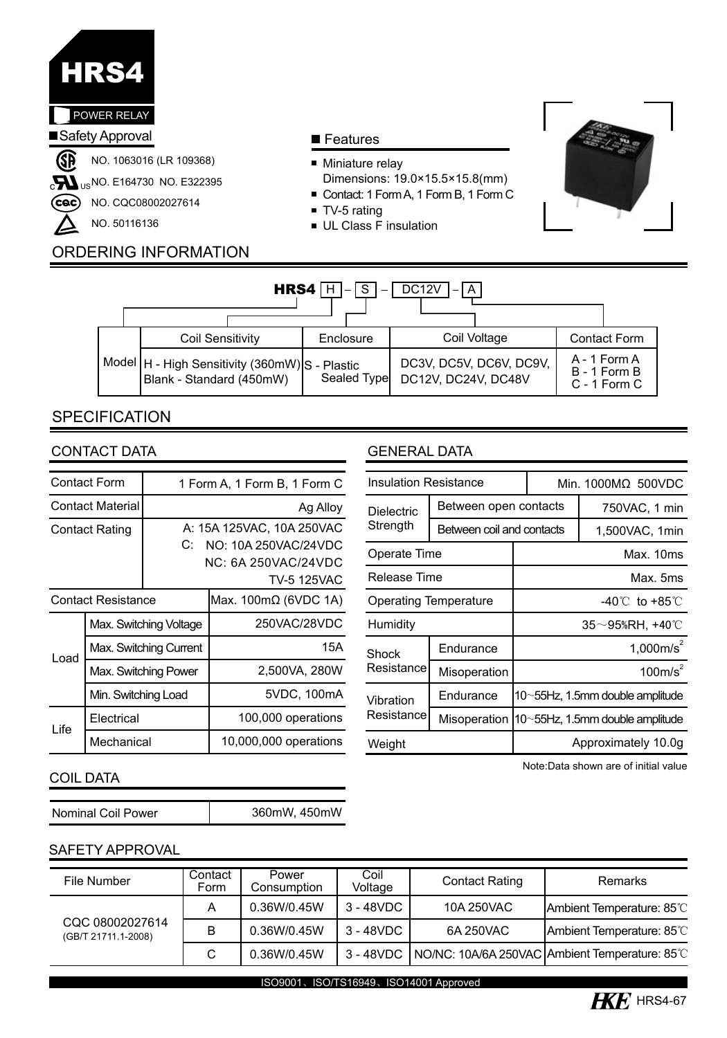

### **Features**

- **Miniature relay**
- Dimensions: 19.0×15.5×15.8(mm)
- Contact: 1 Form A, 1 Form B, 1 Form C
- **TV-5 rating**
- UL Class F insulation



# ORDERING INFORMATION

| $HRS4$ H<br>DC12V<br>IS.<br>(A)                                              |  |             |                     |                         |  |                                              |  |  |  |
|------------------------------------------------------------------------------|--|-------------|---------------------|-------------------------|--|----------------------------------------------|--|--|--|
| <b>Coil Sensitivity</b>                                                      |  | Enclosure   | Coil Voltage        |                         |  | <b>Contact Form</b>                          |  |  |  |
| Model   H - High Sensitivity (360mW) S - Plastic<br>Blank - Standard (450mW) |  | Sealed Type | DC12V. DC24V. DC48V | DC3V, DC5V, DC6V, DC9V, |  | A - 1 Form A<br>B - 1 Form B<br>C - 1 Form C |  |  |  |

# **SPECIFICATION**

|                           | Contact Form            | 1 Form A, 1 Form B, 1 Form C                                                                  |                                     |  |  |  |  |
|---------------------------|-------------------------|-----------------------------------------------------------------------------------------------|-------------------------------------|--|--|--|--|
|                           | <b>Contact Material</b> | Ag Alloy                                                                                      |                                     |  |  |  |  |
|                           | <b>Contact Rating</b>   | A: 15A 125VAC, 10A 250VAC<br>C:<br>NO: 10A 250VAC/24VDC<br>NC: 6A 250VAC/24VDC<br>TV-5 125VAC |                                     |  |  |  |  |
| <b>Contact Resistance</b> |                         |                                                                                               | Max. $100 \text{m}\Omega$ (6VDC 1A) |  |  |  |  |
|                           | Max. Switching Voltage  |                                                                                               | 250VAC/28VDC                        |  |  |  |  |
| Load                      | Max. Switching Current  |                                                                                               | 15A                                 |  |  |  |  |
|                           | Max. Switching Power    |                                                                                               | 2,500VA, 280W                       |  |  |  |  |
|                           | Min. Switching Load     |                                                                                               | 5VDC, 100mA                         |  |  |  |  |
|                           | Electrical              |                                                                                               | 100,000 operations                  |  |  |  |  |
| Life                      | Mechanical              |                                                                                               | 10,000,000 operations               |  |  |  |  |

# CONTACT DATA GENERAL DATA

| <b>Insulation Resistance</b> |                           |                                    | Min. 1000MΩ 500VDC      |                                 |  |
|------------------------------|---------------------------|------------------------------------|-------------------------|---------------------------------|--|
| <b>Dielectric</b>            | Between open contacts     |                                    | 750VAC, 1 min           |                                 |  |
| Strength                     | Between coil and contacts |                                    | 1,500VAC, 1min          |                                 |  |
| Operate Time                 |                           | Max. 10ms                          |                         |                                 |  |
| Release Time                 |                           | Max. 5ms                           |                         |                                 |  |
| <b>Operating Temperature</b> |                           | $-40^{\circ}$ C to $+85^{\circ}$ C |                         |                                 |  |
| Humidity                     |                           |                                    | $35\neg 95\%RH$ , +40°C |                                 |  |
| Shock                        | Endurance                 | 1.000 $m/s^2$                      |                         |                                 |  |
| Resistance                   | Misoperation              | 100m/s <sup>2</sup>                |                         |                                 |  |
| Vibration<br>Resistance      | Endurance                 | 10~55Hz, 1.5mm double amplitude    |                         |                                 |  |
|                              | Misoperation              |                                    |                         | 10~55Hz, 1.5mm double amplitude |  |
| Weight                       |                           | Approximately 10.0q                |                         |                                 |  |

#### Note:Data shown are of initial value

### COIL DATA

| 360mW, 450mW |
|--------------|
|              |

# SAFETY APPROVAL

| File Number                            | Contact<br>Form | Power<br>Consumption | Coil<br>Voltage | <b>Contact Rating</b> | Remarks                                                    |
|----------------------------------------|-----------------|----------------------|-----------------|-----------------------|------------------------------------------------------------|
|                                        | A               | 0.36W/0.45W          | $3 - 48$ VDC    | 10A 250VAC            | Ambient Temperature: 85°C                                  |
| CQC 08002027614<br>(GB/T 21711.1-2008) | B               | 0.36W/0.45W          | 3 - 48VDC       | 6A 250VAC             | Ambient Temperature: 85°C                                  |
|                                        | C               | 0.36W/0.45W          |                 |                       | 3 - 48VDC   NO/NC: 10A/6A 250VAC Ambient Temperature: 85°C |

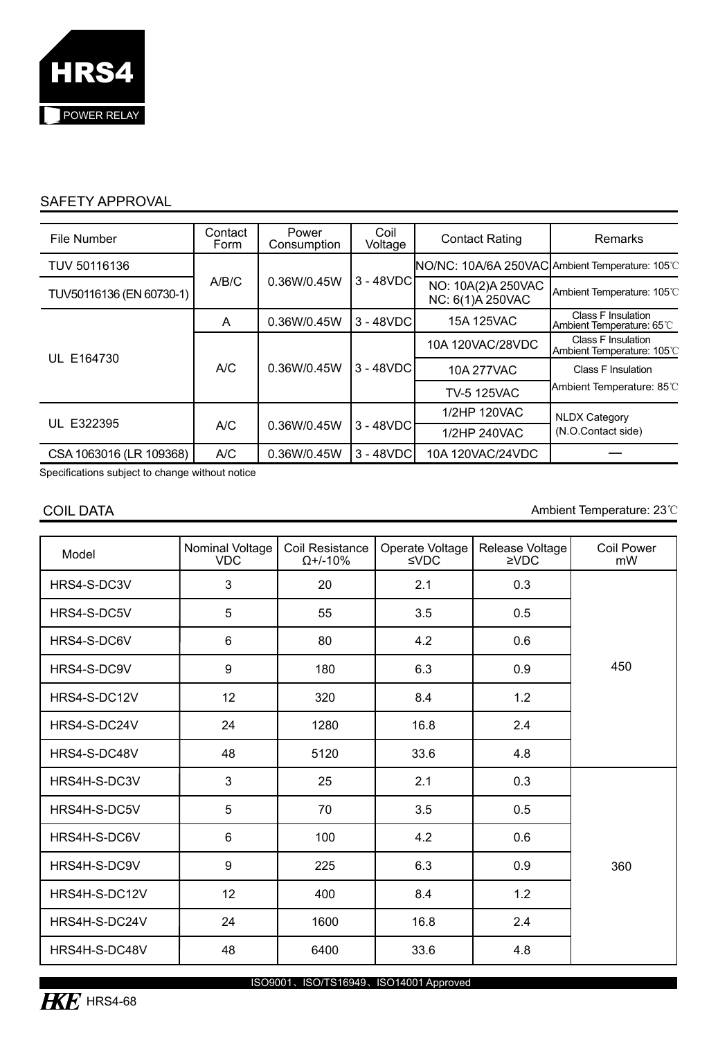

# SAFETY APPROVAL

| File Number              | Contact<br>Form | Power<br>Consumption | Coil<br>Voltage  | <b>Contact Rating</b>                            | <b>Remarks</b>                                   |  |
|--------------------------|-----------------|----------------------|------------------|--------------------------------------------------|--------------------------------------------------|--|
| TUV 50116136             |                 |                      | 3 - 48VDC        | INO/NC: 10A/6A 250VAC Ambient Temperature: 105°C |                                                  |  |
| TUV50116136 (EN 60730-1) | A/B/C           | 0.36W/0.45W          |                  | NO: 10A(2)A 250VAC<br>NC: 6(1)A 250VAC           | Ambient Temperature: 105°C                       |  |
|                          | A               | 0.36W/0.45W          | $3 - 48$ VDC     | 15A 125VAC                                       | Class F Insulation<br>Ambient Temperature: 65°C  |  |
| UL E164730               | A/C             |                      | 10A 120VAC/28VDC |                                                  | Class F Insulation<br>IAmbient Temperature: 105℃ |  |
|                          |                 | 0.36W/0.45W          | $3 - 48$ VDC     | 10A 277VAC                                       | Class F Insulation                               |  |
|                          |                 |                      |                  | <b>TV-5 125VAC</b>                               | Ambient Temperature: 85°C                        |  |
| UL E322395               |                 |                      |                  | 1/2HP 120VAC                                     | <b>NLDX Category</b>                             |  |
|                          | A/C             | 0.36W/0.45W          | $3 - 48$ VDC     | 1/2HP 240VAC                                     | (N.O.Contact side)                               |  |
| CSA 1063016 (LR 109368)  | A/C             | 0.36W/0.45W          | 3 - 48VDC        | 10A 120VAC/24VDC                                 |                                                  |  |

Specifications subject to change without notice

COIL DATA Ambient Temperature: 23℃

| Model         | Nominal Voltage<br><b>VDC</b> | Coil Resistance<br>$\Omega$ +/-10% | Operate Voltage<br>$\leq$ VDC | Release Voltage<br>$\geq$ VDC | Coil Power<br>mW |
|---------------|-------------------------------|------------------------------------|-------------------------------|-------------------------------|------------------|
| HRS4-S-DC3V   | 3                             | 20                                 | 2.1                           | 0.3                           |                  |
| HRS4-S-DC5V   | 5                             | 55                                 | 3.5                           | 0.5                           |                  |
| HRS4-S-DC6V   | 6                             | 80                                 | 4.2                           | 0.6                           |                  |
| HRS4-S-DC9V   | 9                             | 180                                | 6.3                           | 0.9                           | 450              |
| HRS4-S-DC12V  | 12                            | 320                                | 8.4                           | 1.2                           |                  |
| HRS4-S-DC24V  | 24                            | 1280                               | 16.8                          | 2.4                           |                  |
| HRS4-S-DC48V  | 48                            | 5120                               | 33.6                          | 4.8                           |                  |
| HRS4H-S-DC3V  | 3                             | 25                                 | 2.1                           | 0.3                           |                  |
| HRS4H-S-DC5V  | 5                             | 70                                 | 3.5                           | 0.5                           |                  |
| HRS4H-S-DC6V  | 6                             | 100                                | 4.2                           | 0.6                           |                  |
| HRS4H-S-DC9V  | 9                             | 225                                | 6.3                           | 0.9                           | 360              |
| HRS4H-S-DC12V | 12                            | 400                                | 8.4                           | 1.2                           |                  |
| HRS4H-S-DC24V | 24                            | 1600                               | 16.8                          | 2.4                           |                  |
| HRS4H-S-DC48V | 48                            | 6400                               | 33.6                          | 4.8                           |                  |

ISO9001、ISO/TS16949、ISO14001 Approved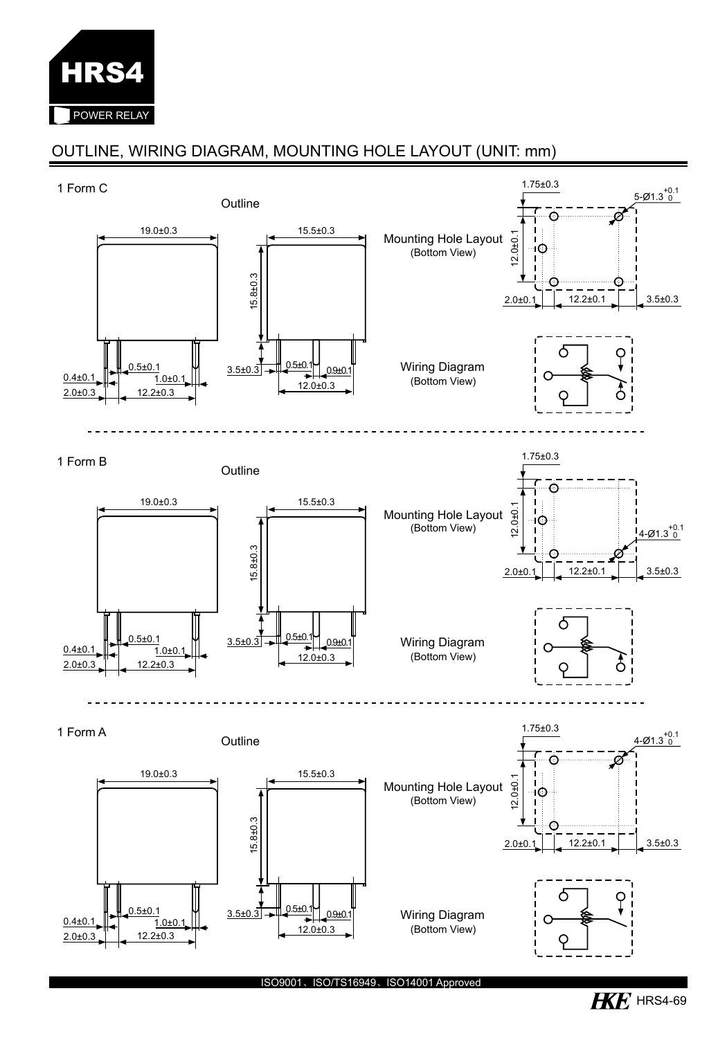

# OUTLINE, WIRING DIAGRAM, MOUNTING HOLE LAYOUT (UNIT: mm)



ISO9001、ISO/TS16949、ISO14001 Approved